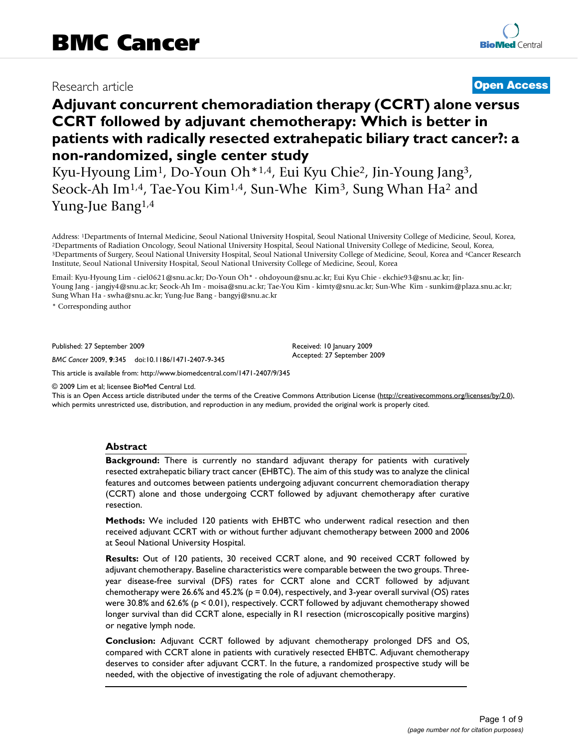# Research article **[Open Access](http://www.biomedcentral.com/info/about/charter/)**

# **Adjuvant concurrent chemoradiation therapy (CCRT) alone versus CCRT followed by adjuvant chemotherapy: Which is better in patients with radically resected extrahepatic biliary tract cancer?: a non-randomized, single center study**

Kyu-Hyoung Lim1, Do-Youn Oh\*1,4, Eui Kyu Chie2, Jin-Young Jang3, Seock-Ah Im<sup>1,4</sup>, Tae-You Kim<sup>1,4</sup>, Sun-Whe Kim<sup>3</sup>, Sung Whan Ha<sup>2</sup> and Yung-Jue Bang1,4

Address: <sup>1</sup>Departments of Internal Medicine, Seoul National University Hospital, Seoul National University College of Medicine, Seoul, Korea, <sup>2</sup>Departments of Radiation Oncology, Seoul National University Hospital, Seoul Institute, Seoul National University Hospital, Seoul National University College of Medicine, Seoul, Korea

Email: Kyu-Hyoung Lim - ciel0621@snu.ac.kr; Do-Youn Oh\* - ohdoyoun@snu.ac.kr; Eui Kyu Chie - ekchie93@snu.ac.kr; Jin-Young Jang - jangjy4@snu.ac.kr; Seock-Ah Im - moisa@snu.ac.kr; Tae-You Kim - kimty@snu.ac.kr; Sun-Whe Kim - sunkim@plaza.snu.ac.kr; Sung Whan Ha - swha@snu.ac.kr; Yung-Jue Bang - bangyj@snu.ac.kr

\* Corresponding author

Published: 27 September 2009

*BMC Cancer* 2009, **9**:345 doi:10.1186/1471-2407-9-345

Received: 10 January 2009 Accepted: 27 September 2009

[This article is available from: http://www.biomedcentral.com/1471-2407/9/345](http://www.biomedcentral.com/1471-2407/9/345)

© 2009 Lim et al; licensee BioMed Central Ltd.

This is an Open Access article distributed under the terms of the Creative Commons Attribution License [\(http://creativecommons.org/licenses/by/2.0\)](http://creativecommons.org/licenses/by/2.0), which permits unrestricted use, distribution, and reproduction in any medium, provided the original work is properly cited.

## **Abstract**

**Background:** There is currently no standard adjuvant therapy for patients with curatively resected extrahepatic biliary tract cancer (EHBTC). The aim of this study was to analyze the clinical features and outcomes between patients undergoing adjuvant concurrent chemoradiation therapy (CCRT) alone and those undergoing CCRT followed by adjuvant chemotherapy after curative resection.

**Methods:** We included 120 patients with EHBTC who underwent radical resection and then received adjuvant CCRT with or without further adjuvant chemotherapy between 2000 and 2006 at Seoul National University Hospital.

**Results:** Out of 120 patients, 30 received CCRT alone, and 90 received CCRT followed by adjuvant chemotherapy. Baseline characteristics were comparable between the two groups. Threeyear disease-free survival (DFS) rates for CCRT alone and CCRT followed by adjuvant chemotherapy were 26.6% and 45.2% ( $p = 0.04$ ), respectively, and 3-year overall survival (OS) rates were 30.8% and 62.6% ( $p \le 0.01$ ), respectively. CCRT followed by adjuvant chemotherapy showed longer survival than did CCRT alone, especially in R1 resection (microscopically positive margins) or negative lymph node.

**Conclusion:** Adjuvant CCRT followed by adjuvant chemotherapy prolonged DFS and OS, compared with CCRT alone in patients with curatively resected EHBTC. Adjuvant chemotherapy deserves to consider after adjuvant CCRT. In the future, a randomized prospective study will be needed, with the objective of investigating the role of adjuvant chemotherapy.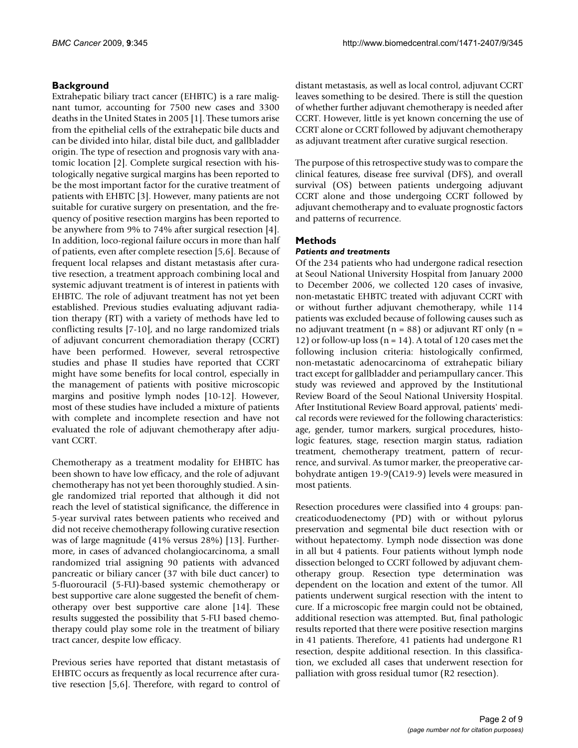# **Background**

Extrahepatic biliary tract cancer (EHBTC) is a rare malignant tumor, accounting for 7500 new cases and 3300 deaths in the United States in 2005 [1]. These tumors arise from the epithelial cells of the extrahepatic bile ducts and can be divided into hilar, distal bile duct, and gallbladder origin. The type of resection and prognosis vary with anatomic location [2]. Complete surgical resection with histologically negative surgical margins has been reported to be the most important factor for the curative treatment of patients with EHBTC [3]. However, many patients are not suitable for curative surgery on presentation, and the frequency of positive resection margins has been reported to be anywhere from 9% to 74% after surgical resection [4]. In addition, loco-regional failure occurs in more than half of patients, even after complete resection [5,6]. Because of frequent local relapses and distant metastasis after curative resection, a treatment approach combining local and systemic adjuvant treatment is of interest in patients with EHBTC. The role of adjuvant treatment has not yet been established. Previous studies evaluating adjuvant radiation therapy (RT) with a variety of methods have led to conflicting results [7-10], and no large randomized trials of adjuvant concurrent chemoradiation therapy (CCRT) have been performed. However, several retrospective studies and phase II studies have reported that CCRT might have some benefits for local control, especially in the management of patients with positive microscopic margins and positive lymph nodes [10-12]. However, most of these studies have included a mixture of patients with complete and incomplete resection and have not evaluated the role of adjuvant chemotherapy after adjuvant CCRT.

Chemotherapy as a treatment modality for EHBTC has been shown to have low efficacy, and the role of adjuvant chemotherapy has not yet been thoroughly studied. A single randomized trial reported that although it did not reach the level of statistical significance, the difference in 5-year survival rates between patients who received and did not receive chemotherapy following curative resection was of large magnitude (41% versus 28%) [13]. Furthermore, in cases of advanced cholangiocarcinoma, a small randomized trial assigning 90 patients with advanced pancreatic or biliary cancer (37 with bile duct cancer) to 5-fluorouracil (5-FU)-based systemic chemotherapy or best supportive care alone suggested the benefit of chemotherapy over best supportive care alone [14]. These results suggested the possibility that 5-FU based chemotherapy could play some role in the treatment of biliary tract cancer, despite low efficacy.

Previous series have reported that distant metastasis of EHBTC occurs as frequently as local recurrence after curative resection [5,6]. Therefore, with regard to control of distant metastasis, as well as local control, adjuvant CCRT leaves something to be desired. There is still the question of whether further adjuvant chemotherapy is needed after CCRT. However, little is yet known concerning the use of CCRT alone or CCRT followed by adjuvant chemotherapy as adjuvant treatment after curative surgical resection.

The purpose of this retrospective study was to compare the clinical features, disease free survival (DFS), and overall survival (OS) between patients undergoing adjuvant CCRT alone and those undergoing CCRT followed by adjuvant chemotherapy and to evaluate prognostic factors and patterns of recurrence.

# **Methods**

# *Patients and treatments*

Of the 234 patients who had undergone radical resection at Seoul National University Hospital from January 2000 to December 2006, we collected 120 cases of invasive, non-metastatic EHBTC treated with adjuvant CCRT with or without further adjuvant chemotherapy, while 114 patients was excluded because of following causes such as no adjuvant treatment ( $n = 88$ ) or adjuvant RT only ( $n =$ 12) or follow-up loss ( $n = 14$ ). A total of 120 cases met the following inclusion criteria: histologically confirmed, non-metastatic adenocarcinoma of extrahepatic biliary tract except for gallbladder and periampullary cancer. This study was reviewed and approved by the Institutional Review Board of the Seoul National University Hospital. After Institutional Review Board approval, patients' medical records were reviewed for the following characteristics: age, gender, tumor markers, surgical procedures, histologic features, stage, resection margin status, radiation treatment, chemotherapy treatment, pattern of recurrence, and survival. As tumor marker, the preoperative carbohydrate antigen 19-9(CA19-9) levels were measured in most patients.

Resection procedures were classified into 4 groups: pancreaticoduodenectomy (PD) with or without pylorus preservation and segmental bile duct resection with or without hepatectomy. Lymph node dissection was done in all but 4 patients. Four patients without lymph node dissection belonged to CCRT followed by adjuvant chemotherapy group. Resection type determination was dependent on the location and extent of the tumor. All patients underwent surgical resection with the intent to cure. If a microscopic free margin could not be obtained, additional resection was attempted. But, final pathologic results reported that there were positive resection margins in 41 patients. Therefore, 41 patients had undergone R1 resection, despite additional resection. In this classification, we excluded all cases that underwent resection for palliation with gross residual tumor (R2 resection).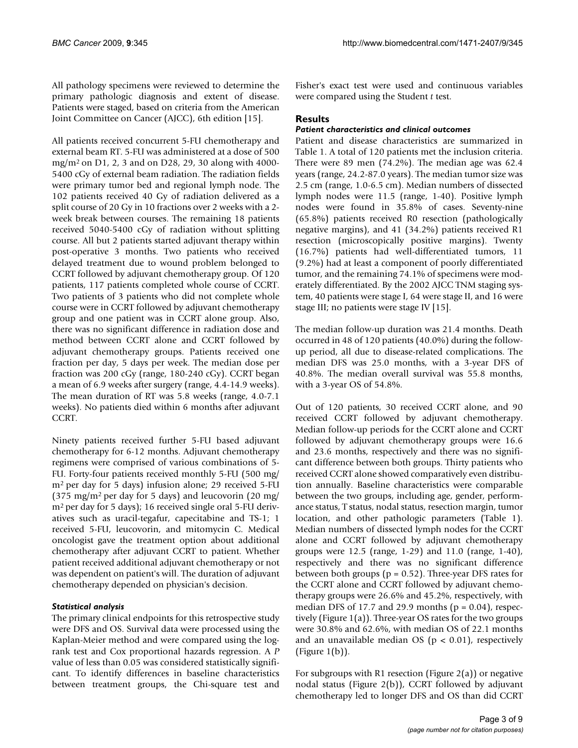All pathology specimens were reviewed to determine the primary pathologic diagnosis and extent of disease. Patients were staged, based on criteria from the American Joint Committee on Cancer (AJCC), 6th edition [15].

All patients received concurrent 5-FU chemotherapy and external beam RT. 5-FU was administered at a dose of 500 mg/m2 on D1, 2, 3 and on D28, 29, 30 along with 4000- 5400 cGy of external beam radiation. The radiation fields were primary tumor bed and regional lymph node. The 102 patients received 40 Gy of radiation delivered as a split course of 20 Gy in 10 fractions over 2 weeks with a 2 week break between courses. The remaining 18 patients received 5040-5400 cGy of radiation without splitting course. All but 2 patients started adjuvant therapy within post-operative 3 months. Two patients who received delayed treatment due to wound problem belonged to CCRT followed by adjuvant chemotherapy group. Of 120 patients, 117 patients completed whole course of CCRT. Two patients of 3 patients who did not complete whole course were in CCRT followed by adjuvant chemotherapy group and one patient was in CCRT alone group. Also, there was no significant difference in radiation dose and method between CCRT alone and CCRT followed by adjuvant chemotherapy groups. Patients received one fraction per day, 5 days per week. The median dose per fraction was 200 cGy (range, 180-240 cGy). CCRT began a mean of 6.9 weeks after surgery (range, 4.4-14.9 weeks). The mean duration of RT was 5.8 weeks (range, 4.0-7.1 weeks). No patients died within 6 months after adjuvant CCRT.

Ninety patients received further 5-FU based adjuvant chemotherapy for 6-12 months. Adjuvant chemotherapy regimens were comprised of various combinations of 5- FU. Forty-four patients received monthly 5-FU (500 mg/ m2 per day for 5 days) infusion alone; 29 received 5-FU  $(375 \text{ mg/m}^2 \text{ per day for } 5 \text{ days})$  and leucovorin  $(20 \text{ mg/m}^2 \text{ per day for } 5 \text{ days})$ m2 per day for 5 days); 16 received single oral 5-FU derivatives such as uracil-tegafur, capecitabine and TS-1; 1 received 5-FU, leucovorin, and mitomycin C. Medical oncologist gave the treatment option about additional chemotherapy after adjuvant CCRT to patient. Whether patient received additional adjuvant chemotherapy or not was dependent on patient's will. The duration of adjuvant chemotherapy depended on physician's decision.

# *Statistical analysis*

The primary clinical endpoints for this retrospective study were DFS and OS. Survival data were processed using the Kaplan-Meier method and were compared using the logrank test and Cox proportional hazards regression. A *P* value of less than 0.05 was considered statistically significant. To identify differences in baseline characteristics between treatment groups, the Chi-square test and

Fisher's exact test were used and continuous variables were compared using the Student *t* test.

# **Results**

# *Patient characteristics and clinical outcomes*

Patient and disease characteristics are summarized in Table 1. A total of 120 patients met the inclusion criteria. There were 89 men (74.2%). The median age was 62.4 years (range, 24.2-87.0 years). The median tumor size was 2.5 cm (range, 1.0-6.5 cm). Median numbers of dissected lymph nodes were 11.5 (range, 1-40). Positive lymph nodes were found in 35.8% of cases. Seventy-nine (65.8%) patients received R0 resection (pathologically negative margins), and 41 (34.2%) patients received R1 resection (microscopically positive margins). Twenty (16.7%) patients had well-differentiated tumors, 11 (9.2%) had at least a component of poorly differentiated tumor, and the remaining 74.1% of specimens were moderately differentiated. By the 2002 AJCC TNM staging system, 40 patients were stage I, 64 were stage II, and 16 were stage III; no patients were stage IV [15].

The median follow-up duration was 21.4 months. Death occurred in 48 of 120 patients (40.0%) during the followup period, all due to disease-related complications. The median DFS was 25.0 months, with a 3-year DFS of 40.8%. The median overall survival was 55.8 months, with a 3-year OS of 54.8%.

Out of 120 patients, 30 received CCRT alone, and 90 received CCRT followed by adjuvant chemotherapy. Median follow-up periods for the CCRT alone and CCRT followed by adjuvant chemotherapy groups were 16.6 and 23.6 months, respectively and there was no significant difference between both groups. Thirty patients who received CCRT alone showed comparatively even distribution annually. Baseline characteristics were comparable between the two groups, including age, gender, performance status, T status, nodal status, resection margin, tumor location, and other pathologic parameters (Table 1). Median numbers of dissected lymph nodes for the CCRT alone and CCRT followed by adjuvant chemotherapy groups were 12.5 (range, 1-29) and 11.0 (range, 1-40), respectively and there was no significant difference between both groups ( $p = 0.52$ ). Three-year DFS rates for the CCRT alone and CCRT followed by adjuvant chemotherapy groups were 26.6% and 45.2%, respectively, with median DFS of 17.7 and 29.9 months ( $p = 0.04$ ), respectively (Figure 1(a)). Three-year OS rates for the two groups were 30.8% and 62.6%, with median OS of 22.1 months and an unavailable median OS ( $p < 0.01$ ), respectively (Figure 1(b)).

For subgroups with R1 resection (Figure 2(a)) or negative nodal status (Figure 2(b)), CCRT followed by adjuvant chemotherapy led to longer DFS and OS than did CCRT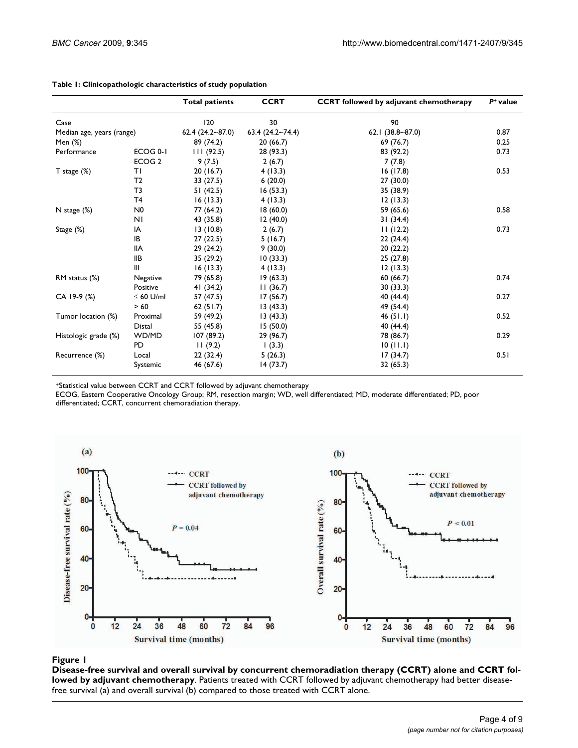|                           |                   | <b>Total patients</b> | <b>CCRT</b>             | <b>CCRT</b> followed by adjuvant chemotherapy | $P^+$ value |
|---------------------------|-------------------|-----------------------|-------------------------|-----------------------------------------------|-------------|
| Case                      |                   | 120                   | 30                      | 90                                            |             |
| Median age, years (range) |                   | $62.4(24.2-87.0)$     | $63.4 (24.2 \sim 74.4)$ | 62.1 $(38.8 - 87.0)$                          | 0.87        |
| Men (%)                   |                   | 89 (74.2)             | 20(66.7)                | 69 (76.7)                                     | 0.25        |
| Performance               | ECOG 0-1          | 111(92.5)             | 28 (93.3)               | 83 (92.2)                                     | 0.73        |
|                           | ECOG <sub>2</sub> | 9(7.5)                | 2(6.7)                  | 7(7.8)                                        |             |
| $T$ stage $(\%)$          | ΤI                | 20(16.7)              | 4(13.3)                 | 16(17.8)                                      | 0.53        |
|                           | T2                | 33 (27.5)             | 6(20.0)                 | 27 (30.0)                                     |             |
|                           | T <sub>3</sub>    | 51(42.5)              | 16(53.3)                | 35 (38.9)                                     |             |
|                           | T <sub>4</sub>    | 16(13.3)              | 4(13.3)                 | 12(13.3)                                      |             |
| N stage $(\%)$            | N0                | 77 (64.2)             | 18(60.0)                | 59 (65.6)                                     | 0.58        |
|                           | N <sub>1</sub>    | 43 (35.8)             | 12(40.0)                | 31(34.4)                                      |             |
| Stage (%)                 | IA                | 13(10.8)              | 2(6.7)                  | 11(12.2)                                      | 0.73        |
|                           | IB                | 27(22.5)              | 5(16.7)                 | 22(24.4)                                      |             |
|                           | <b>IIA</b>        | 29(24.2)              | 9(30.0)                 | 20 (22.2)                                     |             |
|                           | IIВ               | 35(29.2)              | 10(33.3)                | 25(27.8)                                      |             |
|                           | Ш                 | 16(13.3)              | 4(13.3)                 | 12(13.3)                                      |             |
| RM status (%)             | Negative          | 79 (65.8)             | 19(63.3)                | 60(66.7)                                      | 0.74        |
|                           | Positive          | 41 (34.2)             | 11(36.7)                | 30 (33.3)                                     |             |
| CA 19-9 (%)               | $\leq 60$ U/ml    | 57 (47.5)             | 17(56.7)                | 40 (44.4)                                     | 0.27        |
|                           | > 60              | 62(51.7)              | 13(43.3)                | 49 (54.4)                                     |             |
| Tumor location (%)        | Proximal          | 59 (49.2)             | 13(43.3)                | 46(51.1)                                      | 0.52        |
|                           | <b>Distal</b>     | 55 (45.8)             | 15(50.0)                | 40 (44.4)                                     |             |
| Histologic grade (%)      | WD/MD             | 107(89.2)             | 29 (96.7)               | 78 (86.7)                                     | 0.29        |
|                           | <b>PD</b>         | 11(9.2)               | (3.3)                   | 10(11.1)                                      |             |
| Recurrence (%)            | Local             | 22(32.4)              | 5(26.3)                 | 17(34.7)                                      | 0.51        |
|                           | Systemic          | 46 (67.6)             | 14(73.7)                | 32 (65.3)                                     |             |

#### **Table 1: Clinicopathologic characteristics of study population**

+Statistical value between CCRT and CCRT followed by adjuvant chemotherapy

ECOG, Eastern Cooperative Oncology Group; RM, resection margin; WD, well differentiated; MD, moderate differentiated; PD, poor differentiated; CCRT, concurrent chemoradiation therapy.



# Disease-free survival and overall survival chemotherapy **Figure 1** by concurrent chemoradiation therapy (CCRT) alone and CCRT followed by adjuvant

**Disease-free survival and overall survival by concurrent chemoradiation therapy (CCRT) alone and CCRT followed by adjuvant chemotherapy**. Patients treated with CCRT followed by adjuvant chemotherapy had better diseasefree survival (a) and overall survival (b) compared to those treated with CCRT alone.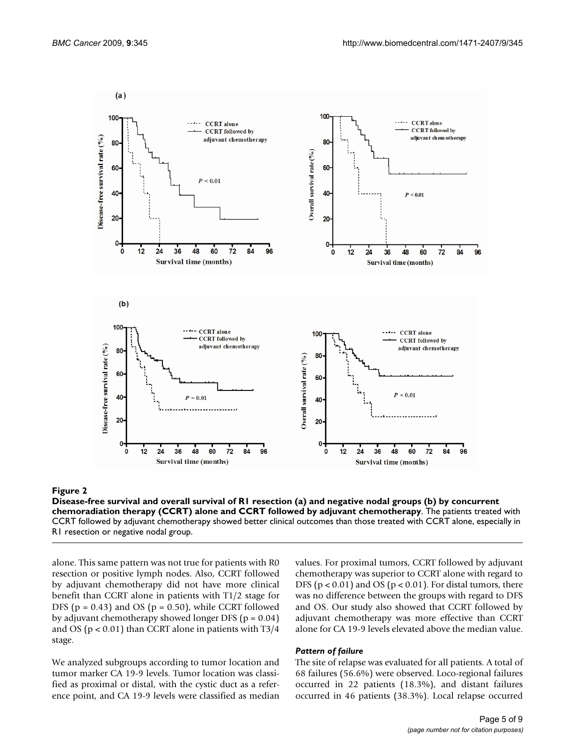

#### Disease-free survival and overall survival apy (CCRT) alone and CCRT followed by adjuvant chemotherapy **Figure 2** of R1 resection (a) and negative nodal groups (b) by concurrent chemoradiation ther-

**Disease-free survival and overall survival of R1 resection (a) and negative nodal groups (b) by concurrent chemoradiation therapy (CCRT) alone and CCRT followed by adjuvant chemotherapy**. The patients treated with CCRT followed by adjuvant chemotherapy showed better clinical outcomes than those treated with CCRT alone, especially in R1 resection or negative nodal group.

alone. This same pattern was not true for patients with R0 resection or positive lymph nodes. Also, CCRT followed by adjuvant chemotherapy did not have more clinical benefit than CCRT alone in patients with T1/2 stage for DFS ( $p = 0.43$ ) and OS ( $p = 0.50$ ), while CCRT followed by adjuvant chemotherapy showed longer DFS (p = 0.04) and OS ( $p < 0.01$ ) than CCRT alone in patients with T3/4 stage.

We analyzed subgroups according to tumor location and tumor marker CA 19-9 levels. Tumor location was classified as proximal or distal, with the cystic duct as a reference point, and CA 19-9 levels were classified as median

values. For proximal tumors, CCRT followed by adjuvant chemotherapy was superior to CCRT alone with regard to DFS ( $p < 0.01$ ) and OS ( $p < 0.01$ ). For distal tumors, there was no difference between the groups with regard to DFS and OS. Our study also showed that CCRT followed by adjuvant chemotherapy was more effective than CCRT alone for CA 19-9 levels elevated above the median value.

#### *Pattern of failure*

The site of relapse was evaluated for all patients. A total of 68 failures (56.6%) were observed. Loco-regional failures occurred in 22 patients (18.3%), and distant failures occurred in 46 patients (38.3%). Local relapse occurred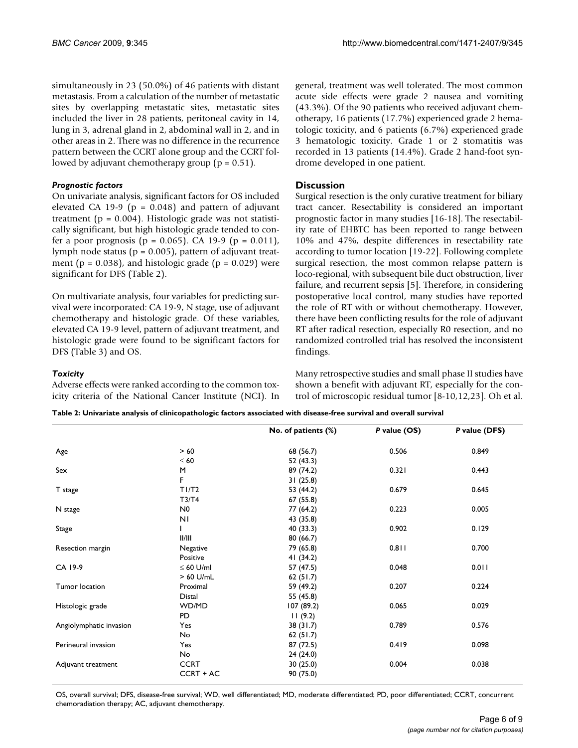simultaneously in 23 (50.0%) of 46 patients with distant metastasis. From a calculation of the number of metastatic sites by overlapping metastatic sites, metastatic sites included the liver in 28 patients, peritoneal cavity in 14, lung in 3, adrenal gland in 2, abdominal wall in 2, and in other areas in 2. There was no difference in the recurrence pattern between the CCRT alone group and the CCRT followed by adjuvant chemotherapy group ( $p = 0.51$ ).

# *Prognostic factors*

On univariate analysis, significant factors for OS included elevated CA 19-9 ( $p = 0.048$ ) and pattern of adjuvant treatment ( $p = 0.004$ ). Histologic grade was not statistically significant, but high histologic grade tended to confer a poor prognosis ( $p = 0.065$ ). CA 19-9 ( $p = 0.011$ ), lymph node status ( $p = 0.005$ ), pattern of adjuvant treatment ( $p = 0.038$ ), and histologic grade ( $p = 0.029$ ) were significant for DFS (Table 2).

On multivariate analysis, four variables for predicting survival were incorporated: CA 19-9, N stage, use of adjuvant chemotherapy and histologic grade. Of these variables, elevated CA 19-9 level, pattern of adjuvant treatment, and histologic grade were found to be significant factors for DFS (Table 3) and OS.

### *Toxicity*

Adverse effects were ranked according to the common toxicity criteria of the National Cancer Institute (NCI). In general, treatment was well tolerated. The most common acute side effects were grade 2 nausea and vomiting (43.3%). Of the 90 patients who received adjuvant chemotherapy, 16 patients (17.7%) experienced grade 2 hematologic toxicity, and 6 patients (6.7%) experienced grade 3 hematologic toxicity. Grade 1 or 2 stomatitis was recorded in 13 patients (14.4%). Grade 2 hand-foot syndrome developed in one patient.

# **Discussion**

Surgical resection is the only curative treatment for biliary tract cancer. Resectability is considered an important prognostic factor in many studies [16-18]. The resectability rate of EHBTC has been reported to range between 10% and 47%, despite differences in resectability rate according to tumor location [19-22]. Following complete surgical resection, the most common relapse pattern is loco-regional, with subsequent bile duct obstruction, liver failure, and recurrent sepsis [5]. Therefore, in considering postoperative local control, many studies have reported the role of RT with or without chemotherapy. However, there have been conflicting results for the role of adjuvant RT after radical resection, especially R0 resection, and no randomized controlled trial has resolved the inconsistent findings.

Many retrospective studies and small phase II studies have shown a benefit with adjuvant RT, especially for the control of microscopic residual tumor [8-10,12,23]. Oh et al.

| Table 2: Univariate analysis of clinicopathologic factors associated with disease-free survival and overall survival |  |
|----------------------------------------------------------------------------------------------------------------------|--|
|----------------------------------------------------------------------------------------------------------------------|--|

|                | No. of patients (%) | P value (OS)           | P value (DFS) |
|----------------|---------------------|------------------------|---------------|
| >60            | 68 (56.7)           | 0.506                  | 0.849         |
| $\leq 60$      | 52 (43.3)           |                        |               |
| M              | 89 (74.2)           | 0.321                  | 0.443         |
| F              | 31(25.8)            |                        |               |
| T1/T2          | 53 (44.2)           | 0.679                  | 0.645         |
| T3/T4          | 67 (55.8)           |                        |               |
| N <sub>0</sub> | 77 (64.2)           | 0.223                  | 0.005         |
| ΝI             | 43 (35.8)           |                        |               |
|                |                     | 0.902                  | 0.129         |
| II/III         | 80(66.7)            |                        |               |
|                |                     | 0.811                  | 0.700         |
| Positive       | 41 $(34.2)$         |                        |               |
| $\leq 60$ U/ml | 57 (47.5)           | 0.048                  | 0.011         |
| $>60$ U/mL     | 62(51.7)            |                        |               |
| Proximal       | 59 (49.2)           | 0.207                  | 0.224         |
| Distal         | 55 (45.8)           |                        |               |
| WD/MD          | 107(89.2)           | 0.065                  | 0.029         |
| PD             | 11(9.2)             |                        |               |
| Yes            | 38(31.7)            | 0.789                  | 0.576         |
| No             | 62(51.7)            |                        |               |
| Yes            | 87 (72.5)           | 0.419                  | 0.098         |
| No             | 24(24.0)            |                        |               |
| <b>CCRT</b>    | 30(25.0)            | 0.004                  | 0.038         |
| CCRT + AC      | 90 (75.0)           |                        |               |
|                | Negative            | 40 (33.3)<br>79 (65.8) |               |

OS, overall survival; DFS, disease-free survival; WD, well differentiated; MD, moderate differentiated; PD, poor differentiated; CCRT, concurrent chemoradiation therapy; AC, adjuvant chemotherapy.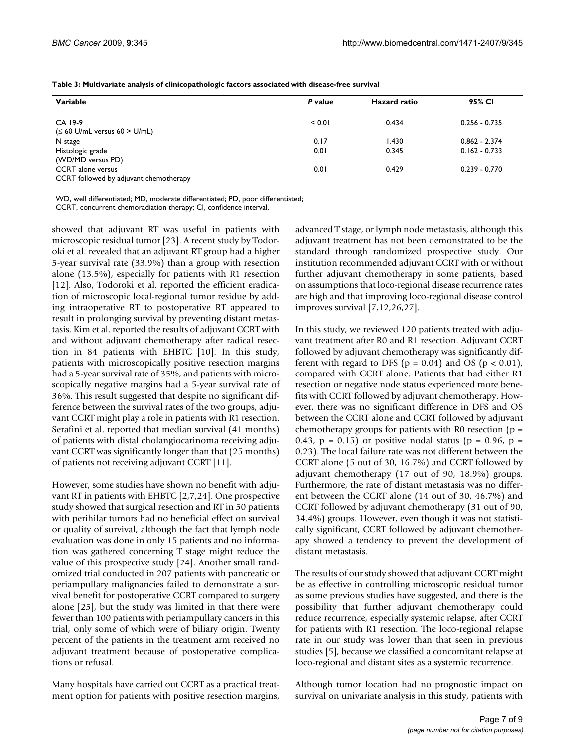| Variable                                                           | P value | Hazard ratio | 95% CI          |
|--------------------------------------------------------------------|---------|--------------|-----------------|
| CA 19-9<br>$(\leq 60 \text{ U/mL}$ versus $60 > \text{ U/mL}$      | < 0.01  | 0.434        | $0.256 - 0.735$ |
| N stage                                                            | 0.17    | 1.430        | $0.862 - 2.374$ |
| Histologic grade<br>(WD/MD versus PD)                              | 0.01    | 0.345        | $0.162 - 0.733$ |
| <b>CCRT</b> alone versus<br>CCRT followed by adjuvant chemotherapy | 0.01    | 0.429        | $0.239 - 0.770$ |

**Table 3: Multivariate analysis of clinicopathologic factors associated with disease-free survival**

WD, well differentiated; MD, moderate differentiated; PD, poor differentiated;

CCRT, concurrent chemoradiation therapy; CI, confidence interval.

showed that adjuvant RT was useful in patients with microscopic residual tumor [23]. A recent study by Todoroki et al. revealed that an adjuvant RT group had a higher 5-year survival rate (33.9%) than a group with resection alone (13.5%), especially for patients with R1 resection [12]. Also, Todoroki et al. reported the efficient eradication of microscopic local-regional tumor residue by adding intraoperative RT to postoperative RT appeared to result in prolonging survival by preventing distant metastasis. Kim et al. reported the results of adjuvant CCRT with and without adjuvant chemotherapy after radical resection in 84 patients with EHBTC [10]. In this study, patients with microscopically positive resection margins had a 5-year survival rate of 35%, and patients with microscopically negative margins had a 5-year survival rate of 36%. This result suggested that despite no significant difference between the survival rates of the two groups, adjuvant CCRT might play a role in patients with R1 resection. Serafini et al. reported that median survival (41 months) of patients with distal cholangiocarinoma receiving adjuvant CCRT was significantly longer than that (25 months) of patients not receiving adjuvant CCRT [11].

However, some studies have shown no benefit with adjuvant RT in patients with EHBTC [2,7,24]. One prospective study showed that surgical resection and RT in 50 patients with perihilar tumors had no beneficial effect on survival or quality of survival, although the fact that lymph node evaluation was done in only 15 patients and no information was gathered concerning T stage might reduce the value of this prospective study [24]. Another small randomized trial conducted in 207 patients with pancreatic or periampullary malignancies failed to demonstrate a survival benefit for postoperative CCRT compared to surgery alone [25], but the study was limited in that there were fewer than 100 patients with periampullary cancers in this trial, only some of which were of biliary origin. Twenty percent of the patients in the treatment arm received no adjuvant treatment because of postoperative complications or refusal.

Many hospitals have carried out CCRT as a practical treatment option for patients with positive resection margins, advanced T stage, or lymph node metastasis, although this adjuvant treatment has not been demonstrated to be the standard through randomized prospective study. Our institution recommended adjuvant CCRT with or without further adjuvant chemotherapy in some patients, based on assumptions that loco-regional disease recurrence rates are high and that improving loco-regional disease control improves survival [7,12,26,27].

In this study, we reviewed 120 patients treated with adjuvant treatment after R0 and R1 resection. Adjuvant CCRT followed by adjuvant chemotherapy was significantly different with regard to DFS ( $p = 0.04$ ) and OS ( $p < 0.01$ ), compared with CCRT alone. Patients that had either R1 resection or negative node status experienced more benefits with CCRT followed by adjuvant chemotherapy. However, there was no significant difference in DFS and OS between the CCRT alone and CCRT followed by adjuvant chemotherapy groups for patients with R0 resection ( $p =$ 0.43,  $p = 0.15$  or positive nodal status ( $p = 0.96$ ,  $p =$ 0.23). The local failure rate was not different between the CCRT alone (5 out of 30, 16.7%) and CCRT followed by adjuvant chemotherapy (17 out of 90, 18.9%) groups. Furthermore, the rate of distant metastasis was no different between the CCRT alone (14 out of 30, 46.7%) and CCRT followed by adjuvant chemotherapy (31 out of 90, 34.4%) groups. However, even though it was not statistically significant, CCRT followed by adjuvant chemotherapy showed a tendency to prevent the development of distant metastasis.

The results of our study showed that adjuvant CCRT might be as effective in controlling microscopic residual tumor as some previous studies have suggested, and there is the possibility that further adjuvant chemotherapy could reduce recurrence, especially systemic relapse, after CCRT for patients with R1 resection. The loco-regional relapse rate in our study was lower than that seen in previous studies [5], because we classified a concomitant relapse at loco-regional and distant sites as a systemic recurrence.

Although tumor location had no prognostic impact on survival on univariate analysis in this study, patients with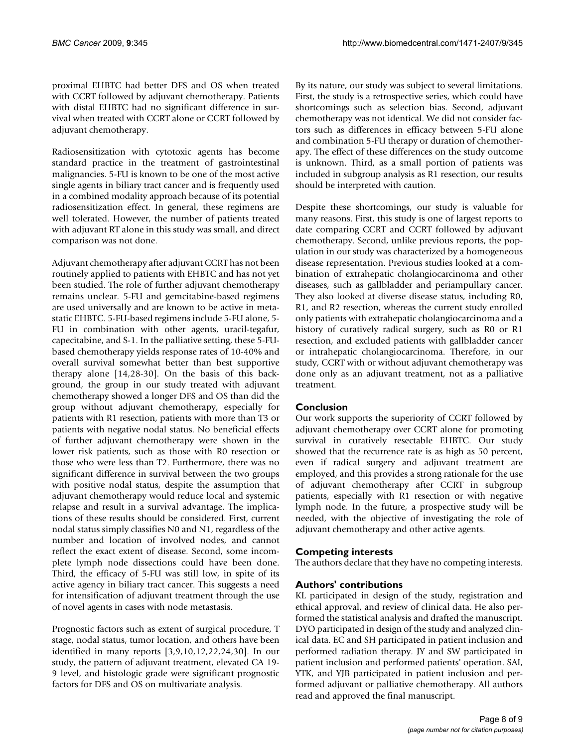proximal EHBTC had better DFS and OS when treated with CCRT followed by adjuvant chemotherapy. Patients with distal EHBTC had no significant difference in survival when treated with CCRT alone or CCRT followed by adjuvant chemotherapy.

Radiosensitization with cytotoxic agents has become standard practice in the treatment of gastrointestinal malignancies. 5-FU is known to be one of the most active single agents in biliary tract cancer and is frequently used in a combined modality approach because of its potential radiosensitization effect. In general, these regimens are well tolerated. However, the number of patients treated with adjuvant RT alone in this study was small, and direct comparison was not done.

Adjuvant chemotherapy after adjuvant CCRT has not been routinely applied to patients with EHBTC and has not yet been studied. The role of further adjuvant chemotherapy remains unclear. 5-FU and gemcitabine-based regimens are used universally and are known to be active in metastatic EHBTC. 5-FU-based regimens include 5-FU alone, 5- FU in combination with other agents, uracil-tegafur, capecitabine, and S-1. In the palliative setting, these 5-FUbased chemotherapy yields response rates of 10-40% and overall survival somewhat better than best supportive therapy alone [14,28-30]. On the basis of this background, the group in our study treated with adjuvant chemotherapy showed a longer DFS and OS than did the group without adjuvant chemotherapy, especially for patients with R1 resection, patients with more than T3 or patients with negative nodal status. No beneficial effects of further adjuvant chemotherapy were shown in the lower risk patients, such as those with R0 resection or those who were less than T2. Furthermore, there was no significant difference in survival between the two groups with positive nodal status, despite the assumption that adjuvant chemotherapy would reduce local and systemic relapse and result in a survival advantage. The implications of these results should be considered. First, current nodal status simply classifies N0 and N1, regardless of the number and location of involved nodes, and cannot reflect the exact extent of disease. Second, some incomplete lymph node dissections could have been done. Third, the efficacy of 5-FU was still low, in spite of its active agency in biliary tract cancer. This suggests a need for intensification of adjuvant treatment through the use of novel agents in cases with node metastasis.

Prognostic factors such as extent of surgical procedure, T stage, nodal status, tumor location, and others have been identified in many reports [3,9,10,12,22,24,30]. In our study, the pattern of adjuvant treatment, elevated CA 19- 9 level, and histologic grade were significant prognostic factors for DFS and OS on multivariate analysis.

By its nature, our study was subject to several limitations. First, the study is a retrospective series, which could have shortcomings such as selection bias. Second, adjuvant chemotherapy was not identical. We did not consider factors such as differences in efficacy between 5-FU alone and combination 5-FU therapy or duration of chemotherapy. The effect of these differences on the study outcome is unknown. Third, as a small portion of patients was included in subgroup analysis as R1 resection, our results should be interpreted with caution.

Despite these shortcomings, our study is valuable for many reasons. First, this study is one of largest reports to date comparing CCRT and CCRT followed by adjuvant chemotherapy. Second, unlike previous reports, the population in our study was characterized by a homogeneous disease representation. Previous studies looked at a combination of extrahepatic cholangiocarcinoma and other diseases, such as gallbladder and periampullary cancer. They also looked at diverse disease status, including R0, R1, and R2 resection, whereas the current study enrolled only patients with extrahepatic cholangiocarcinoma and a history of curatively radical surgery, such as R0 or R1 resection, and excluded patients with gallbladder cancer or intrahepatic cholangiocarcinoma. Therefore, in our study, CCRT with or without adjuvant chemotherapy was done only as an adjuvant treatment, not as a palliative treatment.

# **Conclusion**

Our work supports the superiority of CCRT followed by adjuvant chemotherapy over CCRT alone for promoting survival in curatively resectable EHBTC. Our study showed that the recurrence rate is as high as 50 percent, even if radical surgery and adjuvant treatment are employed, and this provides a strong rationale for the use of adjuvant chemotherapy after CCRT in subgroup patients, especially with R1 resection or with negative lymph node. In the future, a prospective study will be needed, with the objective of investigating the role of adjuvant chemotherapy and other active agents.

# **Competing interests**

The authors declare that they have no competing interests.

# **Authors' contributions**

KL participated in design of the study, registration and ethical approval, and review of clinical data. He also performed the statistical analysis and drafted the manuscript. DYO participated in design of the study and analyzed clinical data. EC and SH participated in patient inclusion and performed radiation therapy. JY and SW participated in patient inclusion and performed patients' operation. SAI, YTK, and YJB participated in patient inclusion and performed adjuvant or palliative chemotherapy. All authors read and approved the final manuscript.